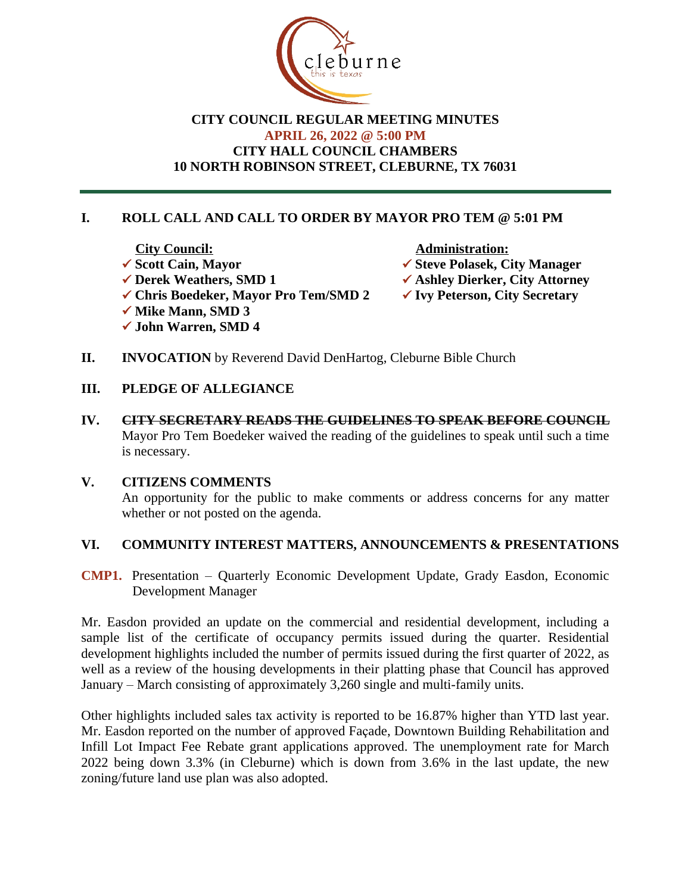

## **CITY COUNCIL REGULAR MEETING MINUTES APRIL 26, 2022 @ 5:00 PM CITY HALL COUNCIL CHAMBERS 10 NORTH ROBINSON STREET, CLEBURNE, TX 76031**

# **I. ROLL CALL AND CALL TO ORDER BY MAYOR PRO TEM @ 5:01 PM**

- *City Council:* **Administration:**
- <table>\n<tbody>\n<tr>\n<th>✓ Scott Cain, Mayor</th>\n<th>✓ Steve Polasek, City Manager</th>\n</tr>\n<tr>\n<th>✓ Derek Weathers, SMD 1</th>\n<th>✓ Ashlev Dierker, City Attorne</th>\n</tr>\n</tbody>\n</table>
	- **✓ Ashley Dierker, City Attorney**<br>✓ Ivy Peterson, City Secretary
	-
- **✓ Chris Boedeker, Mayor Pro Tem/SMD 2**
- **✓ Mike Mann, SMD 3**
- ü **John Warren, SMD 4**
- **II. INVOCATION** by Reverend David DenHartog, Cleburne Bible Church
- **III. PLEDGE OF ALLEGIANCE**
- **IV. CITY SECRETARY READS THE GUIDELINES TO SPEAK BEFORE COUNCIL** Mayor Pro Tem Boedeker waived the reading of the guidelines to speak until such a time is necessary.

#### **V. CITIZENS COMMENTS**

An opportunity for the public to make comments or address concerns for any matter whether or not posted on the agenda.

#### **VI. COMMUNITY INTEREST MATTERS, ANNOUNCEMENTS & PRESENTATIONS**

**CMP1.** Presentation – Quarterly Economic Development Update, Grady Easdon, Economic Development Manager

Mr. Easdon provided an update on the commercial and residential development, including a sample list of the certificate of occupancy permits issued during the quarter. Residential development highlights included the number of permits issued during the first quarter of 2022, as well as a review of the housing developments in their platting phase that Council has approved January – March consisting of approximately 3,260 single and multi-family units.

Other highlights included sales tax activity is reported to be 16.87% higher than YTD last year. Mr. Easdon reported on the number of approved Façade, Downtown Building Rehabilitation and Infill Lot Impact Fee Rebate grant applications approved. The unemployment rate for March 2022 being down 3.3% (in Cleburne) which is down from 3.6% in the last update, the new zoning/future land use plan was also adopted.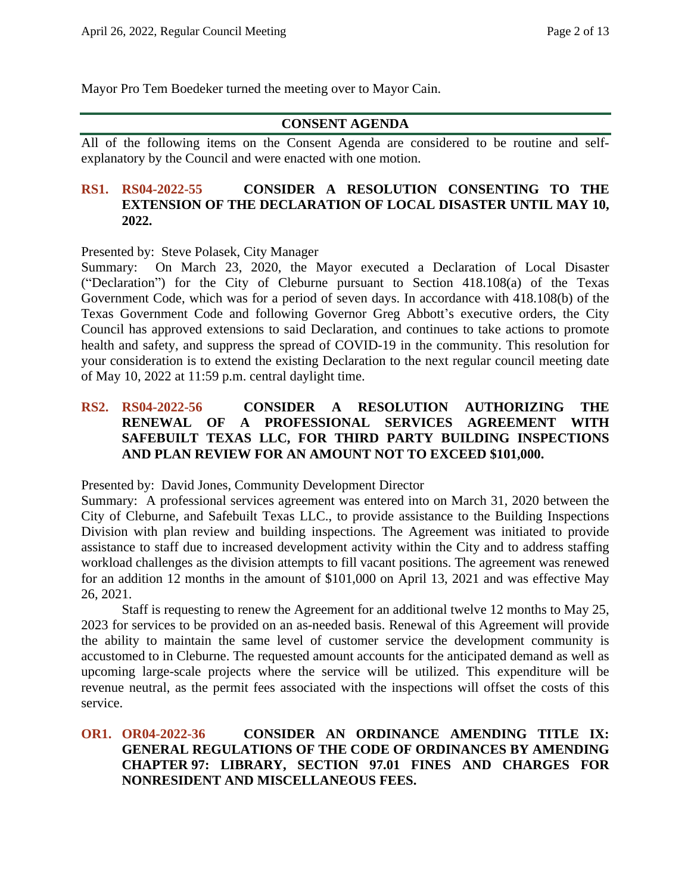Mayor Pro Tem Boedeker turned the meeting over to Mayor Cain.

#### **CONSENT AGENDA**

All of the following items on the Consent Agenda are considered to be routine and selfexplanatory by the Council and were enacted with one motion.

### **RS1. RS04-2022-55 CONSIDER A RESOLUTION CONSENTING TO THE EXTENSION OF THE DECLARATION OF LOCAL DISASTER UNTIL MAY 10, 2022.**

Presented by: Steve Polasek, City Manager

Summary: On March 23, 2020, the Mayor executed a Declaration of Local Disaster ("Declaration") for the City of Cleburne pursuant to Section 418.108(a) of the Texas Government Code, which was for a period of seven days. In accordance with 418.108(b) of the Texas Government Code and following Governor Greg Abbott's executive orders, the City Council has approved extensions to said Declaration, and continues to take actions to promote health and safety, and suppress the spread of COVID-19 in the community. This resolution for your consideration is to extend the existing Declaration to the next regular council meeting date of May 10, 2022 at 11:59 p.m. central daylight time.

## **RS2. RS04-2022-56 CONSIDER A RESOLUTION AUTHORIZING THE RENEWAL OF A PROFESSIONAL SERVICES AGREEMENT WITH SAFEBUILT TEXAS LLC, FOR THIRD PARTY BUILDING INSPECTIONS AND PLAN REVIEW FOR AN AMOUNT NOT TO EXCEED \$101,000.**

Presented by: David Jones, Community Development Director

Summary: A professional services agreement was entered into on March 31, 2020 between the City of Cleburne, and Safebuilt Texas LLC., to provide assistance to the Building Inspections Division with plan review and building inspections. The Agreement was initiated to provide assistance to staff due to increased development activity within the City and to address staffing workload challenges as the division attempts to fill vacant positions. The agreement was renewed for an addition 12 months in the amount of \$101,000 on April 13, 2021 and was effective May 26, 2021.

Staff is requesting to renew the Agreement for an additional twelve 12 months to May 25, 2023 for services to be provided on an as-needed basis. Renewal of this Agreement will provide the ability to maintain the same level of customer service the development community is accustomed to in Cleburne. The requested amount accounts for the anticipated demand as well as upcoming large-scale projects where the service will be utilized. This expenditure will be revenue neutral, as the permit fees associated with the inspections will offset the costs of this service.

### **OR1. OR04-2022-36 CONSIDER AN ORDINANCE AMENDING TITLE IX: GENERAL REGULATIONS OF THE CODE OF ORDINANCES BY AMENDING CHAPTER 97: LIBRARY, SECTION 97.01 FINES AND CHARGES FOR NONRESIDENT AND MISCELLANEOUS FEES.**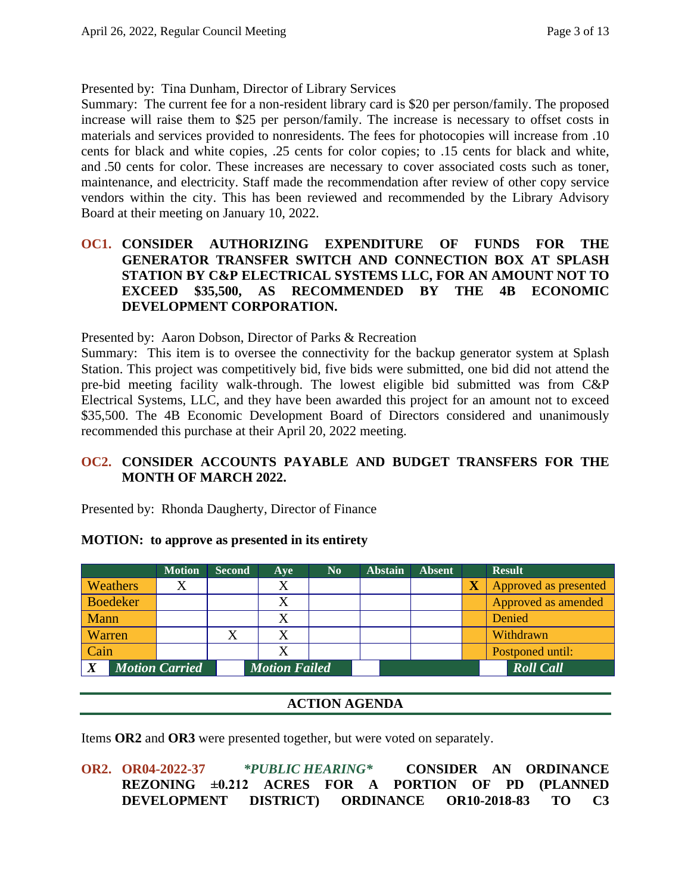Presented by: Tina Dunham, Director of Library Services

Summary: The current fee for a non-resident library card is \$20 per person/family. The proposed increase will raise them to \$25 per person/family. The increase is necessary to offset costs in materials and services provided to nonresidents. The fees for photocopies will increase from .10 cents for black and white copies, .25 cents for color copies; to .15 cents for black and white, and .50 cents for color. These increases are necessary to cover associated costs such as toner, maintenance, and electricity. Staff made the recommendation after review of other copy service vendors within the city. This has been reviewed and recommended by the Library Advisory Board at their meeting on January 10, 2022.

## **OC1. CONSIDER AUTHORIZING EXPENDITURE OF FUNDS FOR THE GENERATOR TRANSFER SWITCH AND CONNECTION BOX AT SPLASH STATION BY C&P ELECTRICAL SYSTEMS LLC, FOR AN AMOUNT NOT TO EXCEED \$35,500, AS RECOMMENDED BY THE 4B ECONOMIC DEVELOPMENT CORPORATION.**

Presented by: Aaron Dobson, Director of Parks & Recreation

Summary: This item is to oversee the connectivity for the backup generator system at Splash Station. This project was competitively bid, five bids were submitted, one bid did not attend the pre-bid meeting facility walk-through. The lowest eligible bid submitted was from C&P Electrical Systems, LLC, and they have been awarded this project for an amount not to exceed \$35,500. The 4B Economic Development Board of Directors considered and unanimously recommended this purchase at their April 20, 2022 meeting.

## **OC2. CONSIDER ACCOUNTS PAYABLE AND BUDGET TRANSFERS FOR THE MONTH OF MARCH 2022.**

Presented by: Rhonda Daugherty, Director of Finance

#### **MOTION: to approve as presented in its entirety**

|                 | <b>Motion</b>         | <b>Second</b> | Ave                  | N <sub>0</sub> | <b>Abstain</b> | <b>Absent</b> |                         | <b>Result</b>         |
|-----------------|-----------------------|---------------|----------------------|----------------|----------------|---------------|-------------------------|-----------------------|
| <b>Weathers</b> |                       |               | X                    |                |                |               | $\overline{\textbf{X}}$ | Approved as presented |
| <b>Boedeker</b> |                       |               | X                    |                |                |               |                         | Approved as amended   |
| Mann            |                       |               | X                    |                |                |               |                         | Denied                |
| Warren          |                       |               | X                    |                |                |               |                         | Withdrawn             |
| Cain            |                       |               | Х                    |                |                |               |                         | Postponed until:      |
| X               | <b>Motion Carried</b> |               | <b>Motion Failed</b> |                |                |               |                         | <b>Roll</b> Call      |

## **ACTION AGENDA**

Items **OR2** and **OR3** were presented together, but were voted on separately.

**OR2. OR04-2022-37** *\*PUBLIC HEARING\** **CONSIDER AN ORDINANCE REZONING ±0.212 ACRES FOR A PORTION OF PD (PLANNED DEVELOPMENT DISTRICT) ORDINANCE OR10-2018-83 TO C3**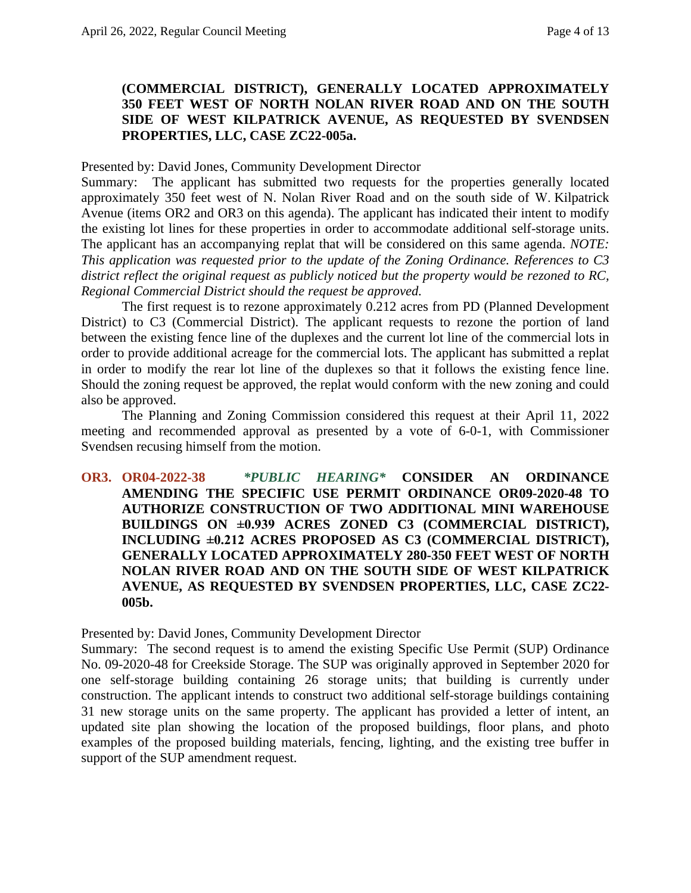### **(COMMERCIAL DISTRICT), GENERALLY LOCATED APPROXIMATELY 350 FEET WEST OF NORTH NOLAN RIVER ROAD AND ON THE SOUTH SIDE OF WEST KILPATRICK AVENUE, AS REQUESTED BY SVENDSEN PROPERTIES, LLC, CASE ZC22-005a.**

#### Presented by: David Jones, Community Development Director

Summary: The applicant has submitted two requests for the properties generally located approximately 350 feet west of N. Nolan River Road and on the south side of W. Kilpatrick Avenue (items OR2 and OR3 on this agenda). The applicant has indicated their intent to modify the existing lot lines for these properties in order to accommodate additional self-storage units. The applicant has an accompanying replat that will be considered on this same agenda. *NOTE: This application was requested prior to the update of the Zoning Ordinance. References to C3 district reflect the original request as publicly noticed but the property would be rezoned to RC, Regional Commercial District should the request be approved.*

The first request is to rezone approximately 0.212 acres from PD (Planned Development District) to C3 (Commercial District). The applicant requests to rezone the portion of land between the existing fence line of the duplexes and the current lot line of the commercial lots in order to provide additional acreage for the commercial lots. The applicant has submitted a replat in order to modify the rear lot line of the duplexes so that it follows the existing fence line. Should the zoning request be approved, the replat would conform with the new zoning and could also be approved.

The Planning and Zoning Commission considered this request at their April 11, 2022 meeting and recommended approval as presented by a vote of 6-0-1, with Commissioner Svendsen recusing himself from the motion.

**OR3. OR04-2022-38** *\*PUBLIC HEARING\** **CONSIDER AN ORDINANCE AMENDING THE SPECIFIC USE PERMIT ORDINANCE OR09-2020-48 TO AUTHORIZE CONSTRUCTION OF TWO ADDITIONAL MINI WAREHOUSE BUILDINGS ON ±0.939 ACRES ZONED C3 (COMMERCIAL DISTRICT), INCLUDING ±0.212 ACRES PROPOSED AS C3 (COMMERCIAL DISTRICT), GENERALLY LOCATED APPROXIMATELY 280-350 FEET WEST OF NORTH NOLAN RIVER ROAD AND ON THE SOUTH SIDE OF WEST KILPATRICK AVENUE, AS REQUESTED BY SVENDSEN PROPERTIES, LLC, CASE ZC22- 005b.**

Presented by: David Jones, Community Development Director

Summary: The second request is to amend the existing Specific Use Permit (SUP) Ordinance No. 09-2020-48 for Creekside Storage. The SUP was originally approved in September 2020 for one self-storage building containing 26 storage units; that building is currently under construction. The applicant intends to construct two additional self-storage buildings containing 31 new storage units on the same property. The applicant has provided a letter of intent, an updated site plan showing the location of the proposed buildings, floor plans, and photo examples of the proposed building materials, fencing, lighting, and the existing tree buffer in support of the SUP amendment request.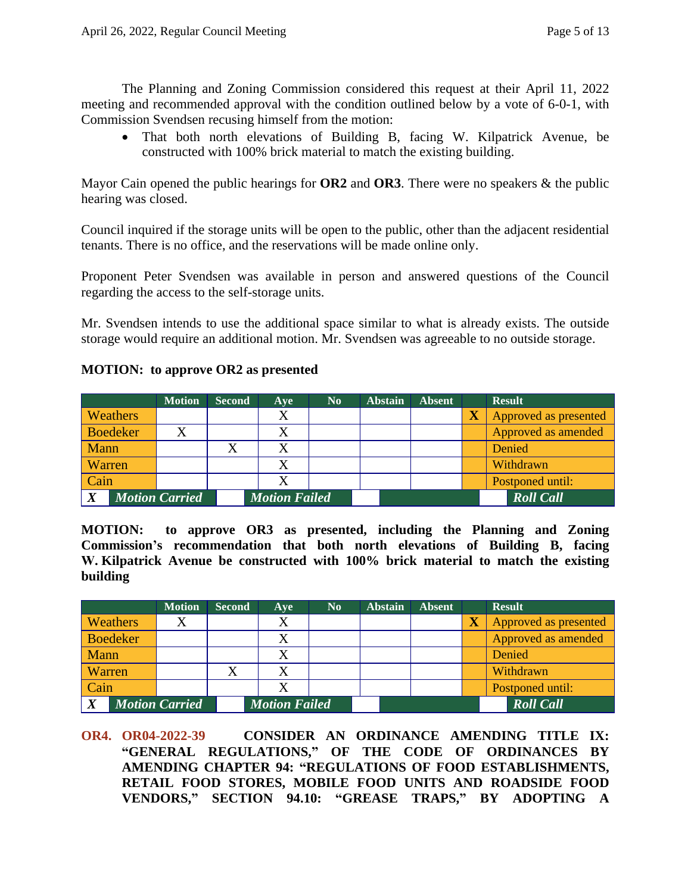The Planning and Zoning Commission considered this request at their April 11, 2022 meeting and recommended approval with the condition outlined below by a vote of 6-0-1, with Commission Svendsen recusing himself from the motion:

 That both north elevations of Building B, facing W. Kilpatrick Avenue, be constructed with 100% brick material to match the existing building.

Mayor Cain opened the public hearings for **OR2** and **OR3**. There were no speakers & the public hearing was closed.

Council inquired if the storage units will be open to the public, other than the adjacent residential tenants. There is no office, and the reservations will be made online only.

Proponent Peter Svendsen was available in person and answered questions of the Council regarding the access to the self-storage units.

Mr. Svendsen intends to use the additional space similar to what is already exists. The outside storage would require an additional motion. Mr. Svendsen was agreeable to no outside storage.

### **MOTION: to approve OR2 as presented**

|                  |                 | <b>Motion</b>         | <b>Second</b> | Ave                  | $\mathbf{N}\mathbf{0}$ | <b>Abstain</b> | <b>Absent</b> | <b>Result</b>         |
|------------------|-----------------|-----------------------|---------------|----------------------|------------------------|----------------|---------------|-----------------------|
|                  | <b>Weathers</b> |                       |               | X                    |                        |                |               | Approved as presented |
|                  | <b>Boedeker</b> |                       |               | X                    |                        |                |               | Approved as amended   |
| Mann             |                 |                       |               |                      |                        |                |               | Denied                |
| Warren           |                 |                       |               | X                    |                        |                |               | Withdrawn             |
| Cain             |                 |                       |               | X                    |                        |                |               | Postponed until:      |
| $\boldsymbol{X}$ |                 | <b>Motion Carried</b> |               | <b>Motion Failed</b> |                        |                |               | <b>Roll Call</b>      |

**MOTION: to approve OR3 as presented, including the Planning and Zoning Commission's recommendation that both north elevations of Building B, facing W. Kilpatrick Avenue be constructed with 100% brick material to match the existing building**

|                                           |  | <b>Motion</b> | <b>Second</b> | Ave                  | N <sub>0</sub> | <b>Abstain</b> | <b>Absent</b> | <b>Result</b>         |
|-------------------------------------------|--|---------------|---------------|----------------------|----------------|----------------|---------------|-----------------------|
| <b>Weathers</b>                           |  |               |               |                      |                |                |               | Approved as presented |
| <b>Boedeker</b>                           |  |               |               |                      |                |                |               | Approved as amended   |
| Mann                                      |  |               |               |                      |                |                |               | Denied                |
| Warren                                    |  |               |               |                      |                |                |               | Withdrawn             |
| Cain                                      |  |               |               |                      |                |                |               | Postponed until:      |
| $\boldsymbol{X}$<br><b>Motion Carried</b> |  |               |               | <b>Motion Failed</b> |                |                |               | <b>Roll Call</b>      |

**OR4. OR04-2022-39 CONSIDER AN ORDINANCE AMENDING TITLE IX: "GENERAL REGULATIONS," OF THE CODE OF ORDINANCES BY AMENDING CHAPTER 94: "REGULATIONS OF FOOD ESTABLISHMENTS, RETAIL FOOD STORES, MOBILE FOOD UNITS AND ROADSIDE FOOD VENDORS," SECTION 94.10: "GREASE TRAPS," BY ADOPTING A**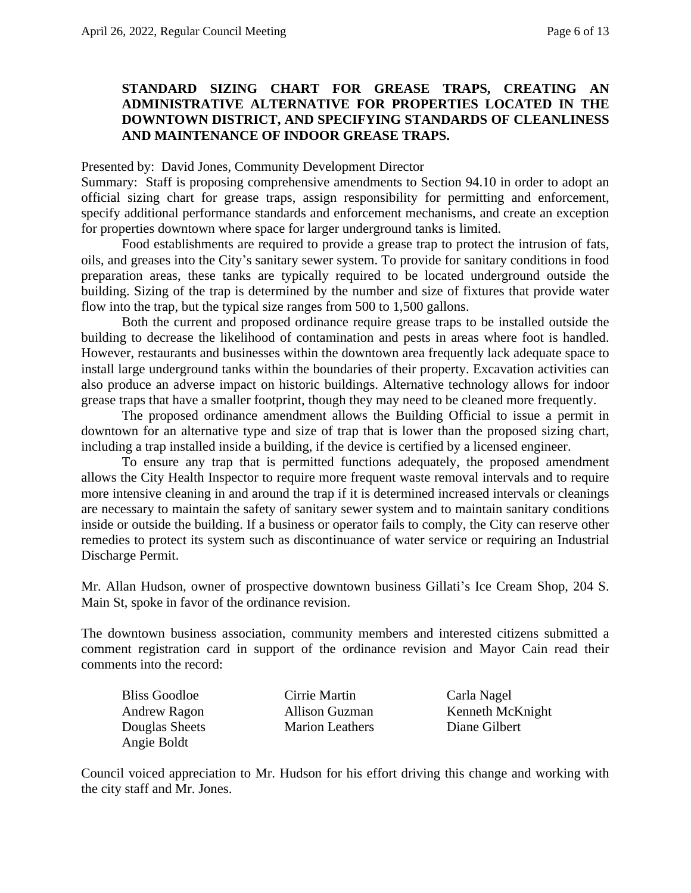### **STANDARD SIZING CHART FOR GREASE TRAPS, CREATING AN ADMINISTRATIVE ALTERNATIVE FOR PROPERTIES LOCATED IN THE DOWNTOWN DISTRICT, AND SPECIFYING STANDARDS OF CLEANLINESS AND MAINTENANCE OF INDOOR GREASE TRAPS.**

#### Presented by: David Jones, Community Development Director

Summary: Staff is proposing comprehensive amendments to Section 94.10 in order to adopt an official sizing chart for grease traps, assign responsibility for permitting and enforcement, specify additional performance standards and enforcement mechanisms, and create an exception for properties downtown where space for larger underground tanks is limited.

Food establishments are required to provide a grease trap to protect the intrusion of fats, oils, and greases into the City's sanitary sewer system. To provide for sanitary conditions in food preparation areas, these tanks are typically required to be located underground outside the building. Sizing of the trap is determined by the number and size of fixtures that provide water flow into the trap, but the typical size ranges from 500 to 1,500 gallons.

Both the current and proposed ordinance require grease traps to be installed outside the building to decrease the likelihood of contamination and pests in areas where foot is handled. However, restaurants and businesses within the downtown area frequently lack adequate space to install large underground tanks within the boundaries of their property. Excavation activities can also produce an adverse impact on historic buildings. Alternative technology allows for indoor grease traps that have a smaller footprint, though they may need to be cleaned more frequently.

The proposed ordinance amendment allows the Building Official to issue a permit in downtown for an alternative type and size of trap that is lower than the proposed sizing chart, including a trap installed inside a building, if the device is certified by a licensed engineer.

To ensure any trap that is permitted functions adequately, the proposed amendment allows the City Health Inspector to require more frequent waste removal intervals and to require more intensive cleaning in and around the trap if it is determined increased intervals or cleanings are necessary to maintain the safety of sanitary sewer system and to maintain sanitary conditions inside or outside the building. If a business or operator fails to comply, the City can reserve other remedies to protect its system such as discontinuance of water service or requiring an Industrial Discharge Permit.

Mr. Allan Hudson, owner of prospective downtown business Gillati's Ice Cream Shop, 204 S. Main St, spoke in favor of the ordinance revision.

The downtown business association, community members and interested citizens submitted a comment registration card in support of the ordinance revision and Mayor Cain read their comments into the record:

| <b>Bliss Goodloe</b> |  |
|----------------------|--|
| <b>Andrew Ragon</b>  |  |
| Douglas Sheets       |  |
| Angie Boldt          |  |

Cirrie Martin Carla Nagel Marion Leathers Diane Gilbert

Allison Guzman Kenneth McKnight

Council voiced appreciation to Mr. Hudson for his effort driving this change and working with the city staff and Mr. Jones.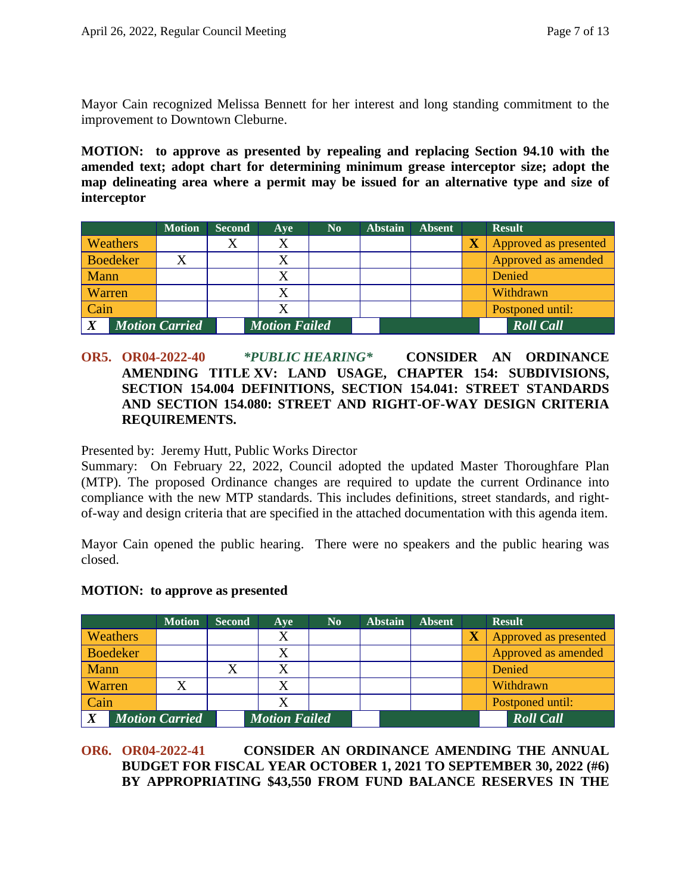Mayor Cain recognized Melissa Bennett for her interest and long standing commitment to the improvement to Downtown Cleburne.

**MOTION: to approve as presented by repealing and replacing Section 94.10 with the amended text; adopt chart for determining minimum grease interceptor size; adopt the map delineating area where a permit may be issued for an alternative type and size of interceptor**

|                  |                 | <b>Motion</b>         | <b>Second</b> | Ave                  | $\mathbf{N}\mathbf{0}$ | <b>Abstain</b> | <b>Absent</b> |                         | <b>Result</b>         |
|------------------|-----------------|-----------------------|---------------|----------------------|------------------------|----------------|---------------|-------------------------|-----------------------|
|                  | <b>Weathers</b> |                       |               | X                    |                        |                |               | $\overline{\textbf{X}}$ | Approved as presented |
|                  | <b>Boedeker</b> |                       |               |                      |                        |                |               |                         | Approved as amended   |
| Mann             |                 |                       |               |                      |                        |                |               |                         | Denied                |
| Warren           |                 |                       |               |                      |                        |                |               |                         | Withdrawn             |
| Cain             |                 |                       |               |                      |                        |                |               |                         | Postponed until:      |
| $\boldsymbol{X}$ |                 | <b>Motion Carried</b> |               | <b>Motion Failed</b> |                        |                |               |                         | <b>Roll Call</b>      |

## **OR5. OR04-2022-40** *\*PUBLIC HEARING\** **CONSIDER AN ORDINANCE AMENDING TITLE XV: LAND USAGE, CHAPTER 154: SUBDIVISIONS, SECTION 154.004 DEFINITIONS, SECTION 154.041: STREET STANDARDS AND SECTION 154.080: STREET AND RIGHT-OF-WAY DESIGN CRITERIA REQUIREMENTS.**

Presented by: Jeremy Hutt, Public Works Director

Summary: On February 22, 2022, Council adopted the updated Master Thoroughfare Plan (MTP). The proposed Ordinance changes are required to update the current Ordinance into compliance with the new MTP standards. This includes definitions, street standards, and rightof-way and design criteria that are specified in the attached documentation with this agenda item.

Mayor Cain opened the public hearing. There were no speakers and the public hearing was closed.

|  | <b>MOTION:</b> to approve as presented |  |
|--|----------------------------------------|--|
|--|----------------------------------------|--|

|             |                 | <b>Motion</b>         | <b>Second</b> | Ave                  | N <sub>0</sub> | <b>Abstain</b> | <b>Absent</b> |                         | <b>Result</b>         |
|-------------|-----------------|-----------------------|---------------|----------------------|----------------|----------------|---------------|-------------------------|-----------------------|
|             | <b>Weathers</b> |                       |               |                      |                |                |               | $\overline{\textbf{X}}$ | Approved as presented |
|             | <b>Boedeker</b> |                       |               |                      |                |                |               |                         | Approved as amended   |
| Mann        |                 |                       |               |                      |                |                |               |                         | Denied                |
| Warren      |                 |                       |               |                      |                |                |               |                         | Withdrawn             |
| Cain        |                 |                       |               |                      |                |                |               |                         | Postponed until:      |
| $\mathbf v$ |                 | <b>Motion Carried</b> |               | <b>Motion Failed</b> |                |                |               |                         | <b>Roll Call</b>      |

### **OR6. OR04-2022-41 CONSIDER AN ORDINANCE AMENDING THE ANNUAL BUDGET FOR FISCAL YEAR OCTOBER 1, 2021 TO SEPTEMBER 30, 2022 (#6) BY APPROPRIATING \$43,550 FROM FUND BALANCE RESERVES IN THE**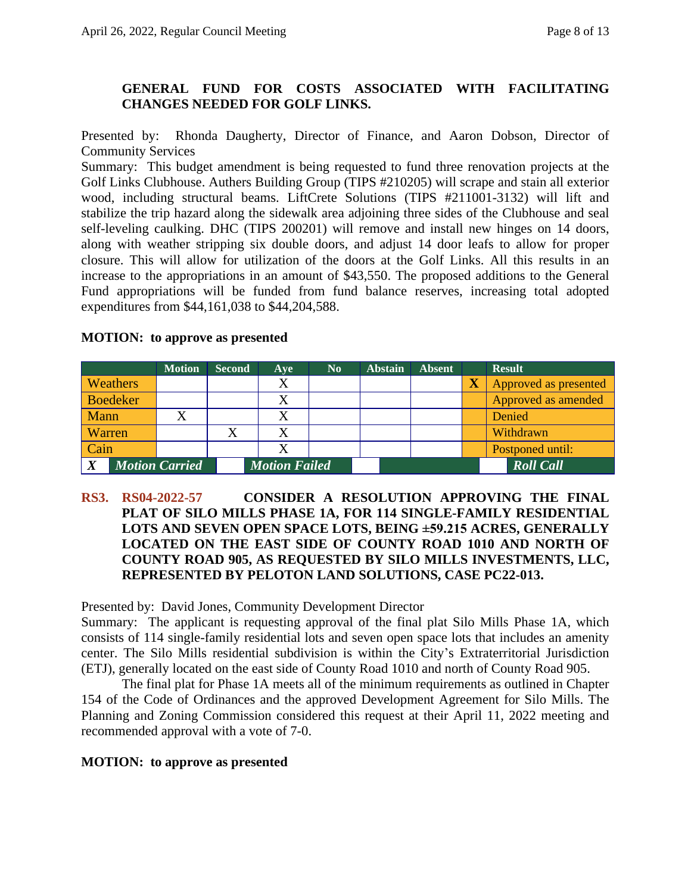## **GENERAL FUND FOR COSTS ASSOCIATED WITH FACILITATING CHANGES NEEDED FOR GOLF LINKS.**

Presented by: Rhonda Daugherty, Director of Finance, and Aaron Dobson, Director of Community Services

Summary: This budget amendment is being requested to fund three renovation projects at the Golf Links Clubhouse. Authers Building Group (TIPS #210205) will scrape and stain all exterior wood, including structural beams. LiftCrete Solutions (TIPS #211001-3132) will lift and stabilize the trip hazard along the sidewalk area adjoining three sides of the Clubhouse and seal self-leveling caulking. DHC (TIPS 200201) will remove and install new hinges on 14 doors, along with weather stripping six double doors, and adjust 14 door leafs to allow for proper closure. This will allow for utilization of the doors at the Golf Links. All this results in an increase to the appropriations in an amount of \$43,550. The proposed additions to the General Fund appropriations will be funded from fund balance reserves, increasing total adopted expenditures from \$44,161,038 to \$44,204,588.

### **MOTION: to approve as presented**

|                                           |                 | <b>Motion</b> | <b>Second</b> | Ave                  | N <sub>0</sub> | <b>Abstain</b> | <b>Absent</b> |                         | <b>Result</b>         |
|-------------------------------------------|-----------------|---------------|---------------|----------------------|----------------|----------------|---------------|-------------------------|-----------------------|
|                                           | <b>Weathers</b> |               |               | X                    |                |                |               | $\overline{\textbf{X}}$ | Approved as presented |
|                                           | <b>Boedeker</b> |               |               | X                    |                |                |               |                         | Approved as amended   |
| Mann                                      |                 |               |               |                      |                |                |               |                         | Denied                |
| Warren                                    |                 |               |               | $\rm X$              |                |                |               |                         | Withdrawn             |
| Cain                                      |                 |               |               | X                    |                |                |               |                         | Postponed until:      |
| $\boldsymbol{X}$<br><b>Motion Carried</b> |                 |               |               | <b>Motion Failed</b> |                |                |               |                         | <b>Roll Call</b>      |

## **RS3. RS04-2022-57 CONSIDER A RESOLUTION APPROVING THE FINAL PLAT OF SILO MILLS PHASE 1A, FOR 114 SINGLE-FAMILY RESIDENTIAL LOTS AND SEVEN OPEN SPACE LOTS, BEING ±59.215 ACRES, GENERALLY LOCATED ON THE EAST SIDE OF COUNTY ROAD 1010 AND NORTH OF COUNTY ROAD 905, AS REQUESTED BY SILO MILLS INVESTMENTS, LLC, REPRESENTED BY PELOTON LAND SOLUTIONS, CASE PC22-013.**

Presented by: David Jones, Community Development Director

Summary: The applicant is requesting approval of the final plat Silo Mills Phase 1A, which consists of 114 single-family residential lots and seven open space lots that includes an amenity center. The Silo Mills residential subdivision is within the City's Extraterritorial Jurisdiction (ETJ), generally located on the east side of County Road 1010 and north of County Road 905.

The final plat for Phase 1A meets all of the minimum requirements as outlined in Chapter 154 of the Code of Ordinances and the approved Development Agreement for Silo Mills. The Planning and Zoning Commission considered this request at their April 11, 2022 meeting and recommended approval with a vote of 7-0.

#### **MOTION: to approve as presented**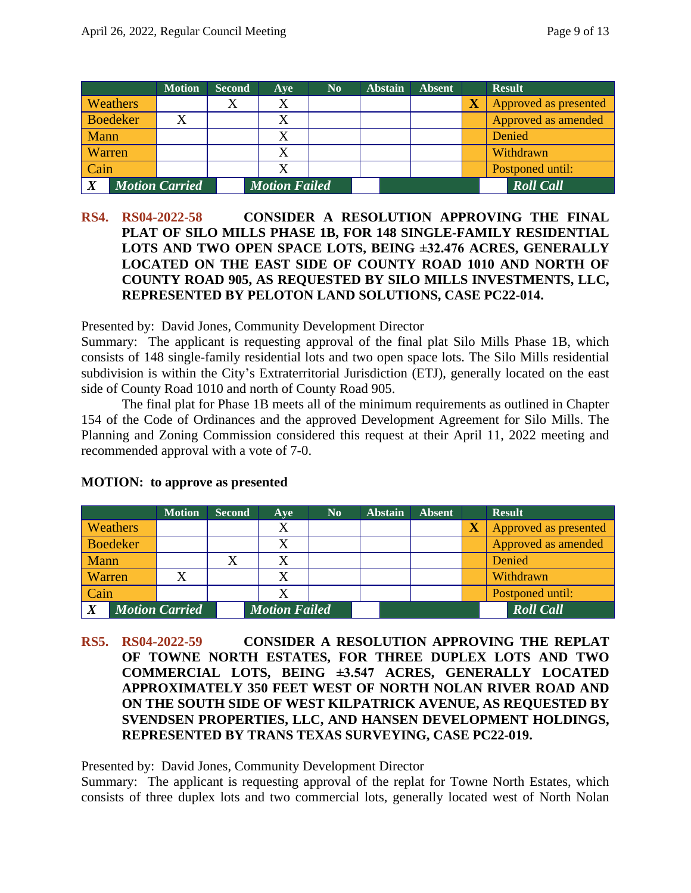|                  |                 | <b>Motion</b>         | <b>Second</b> | Aye                  | N <sub>0</sub> | <b>Abstain</b> | <b>Absent</b> |                         | <b>Result</b>         |
|------------------|-----------------|-----------------------|---------------|----------------------|----------------|----------------|---------------|-------------------------|-----------------------|
|                  | Weathers        |                       |               |                      |                |                |               | $\overline{\textbf{X}}$ | Approved as presented |
|                  | <b>Boedeker</b> |                       |               |                      |                |                |               |                         | Approved as amended   |
| Mann             |                 |                       |               |                      |                |                |               |                         | Denied                |
| Warren           |                 |                       |               |                      |                |                |               |                         | Withdrawn             |
| Cain             |                 |                       |               | X                    |                |                |               |                         | Postponed until:      |
| $\boldsymbol{X}$ |                 | <b>Motion Carried</b> |               | <b>Motion Failed</b> |                |                |               |                         | <b>Roll Call</b>      |

## **RS4. RS04-2022-58 CONSIDER A RESOLUTION APPROVING THE FINAL PLAT OF SILO MILLS PHASE 1B, FOR 148 SINGLE-FAMILY RESIDENTIAL LOTS AND TWO OPEN SPACE LOTS, BEING ±32.476 ACRES, GENERALLY LOCATED ON THE EAST SIDE OF COUNTY ROAD 1010 AND NORTH OF COUNTY ROAD 905, AS REQUESTED BY SILO MILLS INVESTMENTS, LLC, REPRESENTED BY PELOTON LAND SOLUTIONS, CASE PC22-014.**

Presented by: David Jones, Community Development Director

Summary: The applicant is requesting approval of the final plat Silo Mills Phase 1B, which consists of 148 single-family residential lots and two open space lots. The Silo Mills residential subdivision is within the City's Extraterritorial Jurisdiction (ETJ), generally located on the east side of County Road 1010 and north of County Road 905.

The final plat for Phase 1B meets all of the minimum requirements as outlined in Chapter 154 of the Code of Ordinances and the approved Development Agreement for Silo Mills. The Planning and Zoning Commission considered this request at their April 11, 2022 meeting and recommended approval with a vote of 7-0.

|                                           |                 | <b>Motion</b> | <b>Second</b> | Ave                  | N <sub>0</sub> | <b>Abstain</b> | <b>Absent</b> |                         | <b>Result</b>         |
|-------------------------------------------|-----------------|---------------|---------------|----------------------|----------------|----------------|---------------|-------------------------|-----------------------|
|                                           | <b>Weathers</b> |               |               | X                    |                |                |               | $\overline{\textbf{X}}$ | Approved as presented |
|                                           | <b>Boedeker</b> |               |               |                      |                |                |               |                         | Approved as amended   |
| Mann                                      |                 |               |               | X                    |                |                |               |                         | Denied                |
| Warren                                    |                 |               |               | X                    |                |                |               |                         | Withdrawn             |
| Cain                                      |                 |               |               | X                    |                |                |               |                         | Postponed until:      |
| $\boldsymbol{X}$<br><b>Motion Carried</b> |                 |               |               | <b>Motion Failed</b> |                |                |               |                         | <b>Roll Call</b>      |

#### **MOTION: to approve as presented**

**RS5. RS04-2022-59 CONSIDER A RESOLUTION APPROVING THE REPLAT OF TOWNE NORTH ESTATES, FOR THREE DUPLEX LOTS AND TWO COMMERCIAL LOTS, BEING ±3.547 ACRES, GENERALLY LOCATED APPROXIMATELY 350 FEET WEST OF NORTH NOLAN RIVER ROAD AND ON THE SOUTH SIDE OF WEST KILPATRICK AVENUE, AS REQUESTED BY SVENDSEN PROPERTIES, LLC, AND HANSEN DEVELOPMENT HOLDINGS, REPRESENTED BY TRANS TEXAS SURVEYING, CASE PC22-019.**

Presented by: David Jones, Community Development Director

Summary: The applicant is requesting approval of the replat for Towne North Estates, which consists of three duplex lots and two commercial lots, generally located west of North Nolan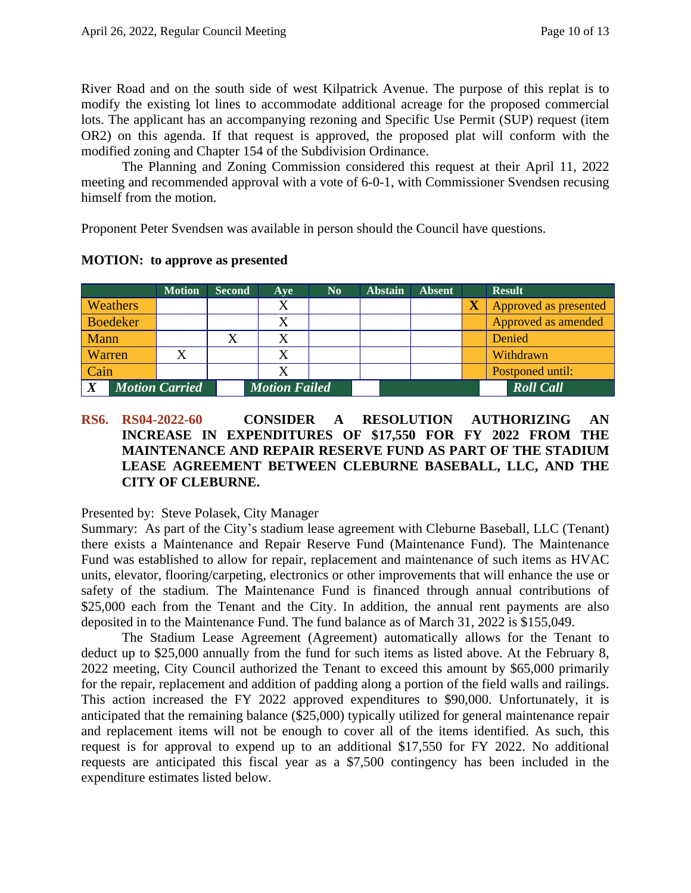River Road and on the south side of west Kilpatrick Avenue. The purpose of this replat is to modify the existing lot lines to accommodate additional acreage for the proposed commercial lots. The applicant has an accompanying rezoning and Specific Use Permit (SUP) request (item OR2) on this agenda. If that request is approved, the proposed plat will conform with the modified zoning and Chapter 154 of the Subdivision Ordinance.

The Planning and Zoning Commission considered this request at their April 11, 2022 meeting and recommended approval with a vote of 6-0-1, with Commissioner Svendsen recusing himself from the motion.

Proponent Peter Svendsen was available in person should the Council have questions.

|                                           |                 | <b>Motion</b> | <b>Second</b> | Ave                  | No. | <b>Abstain</b> | <b>Absent</b> |                         | <b>Result</b>         |
|-------------------------------------------|-----------------|---------------|---------------|----------------------|-----|----------------|---------------|-------------------------|-----------------------|
|                                           | Weathers        |               |               | X                    |     |                |               | $\overline{\textbf{X}}$ | Approved as presented |
|                                           | <b>Boedeker</b> |               |               | X                    |     |                |               |                         | Approved as amended   |
| Mann                                      |                 |               |               |                      |     |                |               |                         | Denied                |
| Warren                                    |                 |               |               | X                    |     |                |               |                         | Withdrawn             |
| Cain                                      |                 |               |               | Χ                    |     |                |               |                         | Postponed until:      |
| $\boldsymbol{X}$<br><b>Motion Carried</b> |                 |               |               | <b>Motion Failed</b> |     |                |               |                         | <b>Roll Call</b>      |

## **MOTION: to approve as presented**

### **RS6. RS04-2022-60 CONSIDER A RESOLUTION AUTHORIZING AN INCREASE IN EXPENDITURES OF \$17,550 FOR FY 2022 FROM THE MAINTENANCE AND REPAIR RESERVE FUND AS PART OF THE STADIUM LEASE AGREEMENT BETWEEN CLEBURNE BASEBALL, LLC, AND THE CITY OF CLEBURNE.**

Presented by: Steve Polasek, City Manager

Summary: As part of the City's stadium lease agreement with Cleburne Baseball, LLC (Tenant) there exists a Maintenance and Repair Reserve Fund (Maintenance Fund). The Maintenance Fund was established to allow for repair, replacement and maintenance of such items as HVAC units, elevator, flooring/carpeting, electronics or other improvements that will enhance the use or safety of the stadium. The Maintenance Fund is financed through annual contributions of \$25,000 each from the Tenant and the City. In addition, the annual rent payments are also deposited in to the Maintenance Fund. The fund balance as of March 31, 2022 is \$155,049.

The Stadium Lease Agreement (Agreement) automatically allows for the Tenant to deduct up to \$25,000 annually from the fund for such items as listed above. At the February 8, 2022 meeting, City Council authorized the Tenant to exceed this amount by \$65,000 primarily for the repair, replacement and addition of padding along a portion of the field walls and railings. This action increased the FY 2022 approved expenditures to \$90,000. Unfortunately, it is anticipated that the remaining balance (\$25,000) typically utilized for general maintenance repair and replacement items will not be enough to cover all of the items identified. As such, this request is for approval to expend up to an additional \$17,550 for FY 2022. No additional requests are anticipated this fiscal year as a \$7,500 contingency has been included in the expenditure estimates listed below.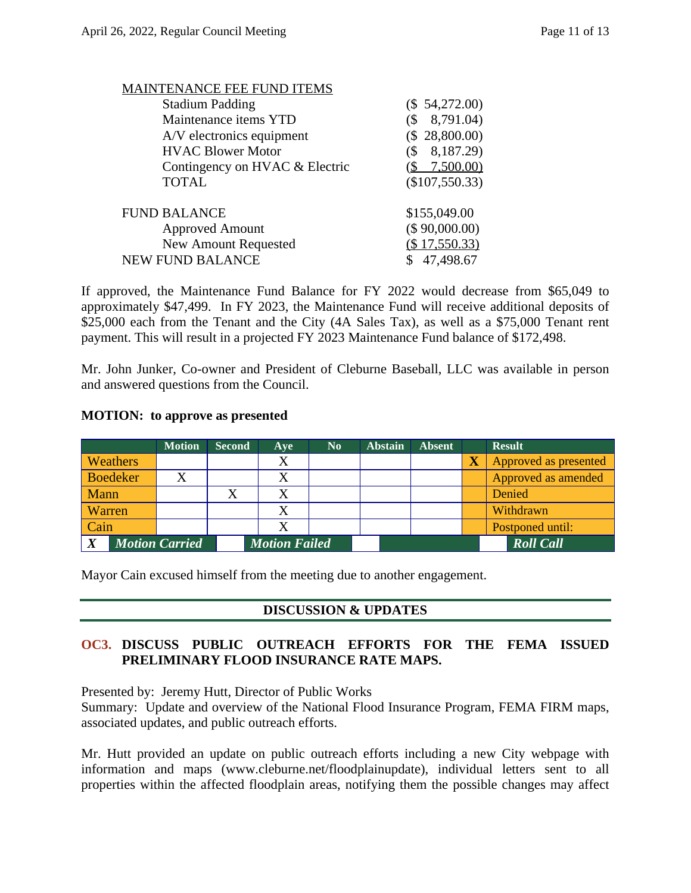| <b>IAINTENANCE FEE FUND ITEMS</b> |                         |
|-----------------------------------|-------------------------|
| <b>Stadium Padding</b>            | (\$ 54,272.00)          |
| Maintenance items YTD             | 8,791.04)               |
| A/V electronics equipment         | (\$28,800.00)           |
| <b>HVAC Blower Motor</b>          | 8,187.29)               |
| Contingency on HVAC & Electric    | $\frac{$}{2}$ 7,500.00) |
| <b>TOTAL</b>                      | $(\$107,550.33)$        |
| <b>FUND BALANCE</b>               | \$155,049.00            |
| <b>Approved Amount</b>            | (\$ 90,000.00)          |
| <b>New Amount Requested</b>       | (\$17,550.33)           |
| <b>NEW FUND BALANCE</b>           | \$47,498.67             |
|                                   |                         |

If approved, the Maintenance Fund Balance for FY 2022 would decrease from \$65,049 to approximately \$47,499. In FY 2023, the Maintenance Fund will receive additional deposits of \$25,000 each from the Tenant and the City (4A Sales Tax), as well as a \$75,000 Tenant rent payment. This will result in a projected FY 2023 Maintenance Fund balance of \$172,498.

Mr. John Junker, Co-owner and President of Cleburne Baseball, LLC was available in person and answered questions from the Council.

#### **MOTION: to approve as presented**

|                                           |  | <b>Motion</b> | <b>Second</b> | Ave                  | N <sub>0</sub> | <b>Abstain</b> | <b>Absent</b> |                         | <b>Result</b>         |
|-------------------------------------------|--|---------------|---------------|----------------------|----------------|----------------|---------------|-------------------------|-----------------------|
| <b>Weathers</b>                           |  |               |               | X                    |                |                |               | $\overline{\textbf{X}}$ | Approved as presented |
| <b>Boedeker</b>                           |  |               |               | X                    |                |                |               |                         | Approved as amended   |
| Mann                                      |  |               |               | X                    |                |                |               |                         | Denied                |
| Warren                                    |  |               |               | X                    |                |                |               |                         | Withdrawn             |
| Cain                                      |  |               |               | X                    |                |                |               |                         | Postponed until:      |
| $\boldsymbol{X}$<br><b>Motion Carried</b> |  |               |               | <b>Motion Failed</b> |                |                |               |                         | <b>Roll Call</b>      |

Mayor Cain excused himself from the meeting due to another engagement.

## **DISCUSSION & UPDATES**

## **OC3. DISCUSS PUBLIC OUTREACH EFFORTS FOR THE FEMA ISSUED PRELIMINARY FLOOD INSURANCE RATE MAPS.**

Presented by: Jeremy Hutt, Director of Public Works

Summary: Update and overview of the National Flood Insurance Program, FEMA FIRM maps, associated updates, and public outreach efforts.

Mr. Hutt provided an update on public outreach efforts including a new City webpage with information and maps (www.cleburne.net/floodplainupdate), individual letters sent to all properties within the affected floodplain areas, notifying them the possible changes may affect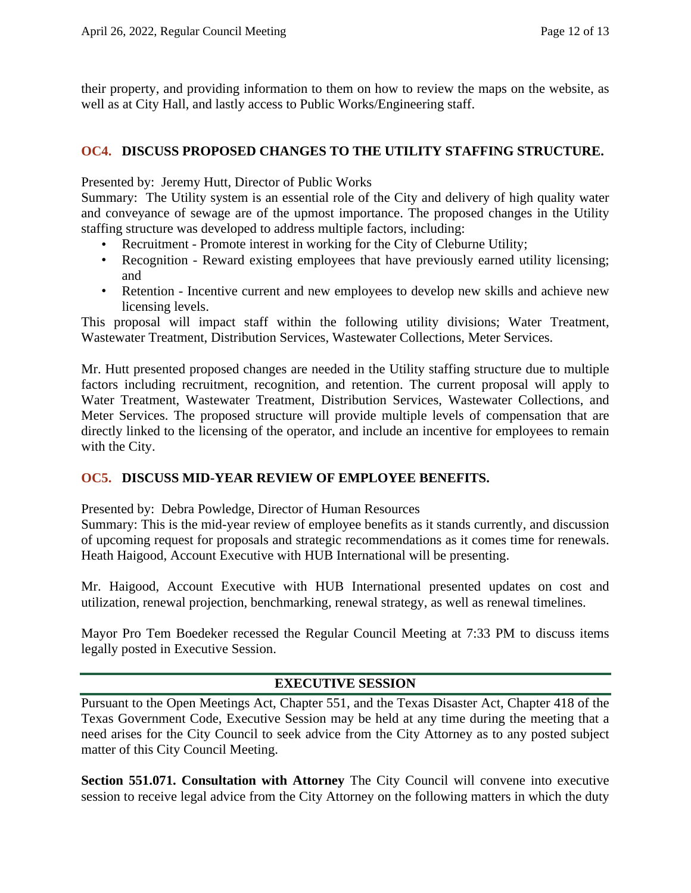their property, and providing information to them on how to review the maps on the website, as well as at City Hall, and lastly access to Public Works/Engineering staff.

### **OC4. DISCUSS PROPOSED CHANGES TO THE UTILITY STAFFING STRUCTURE.**

Presented by: Jeremy Hutt, Director of Public Works

Summary: The Utility system is an essential role of the City and delivery of high quality water and conveyance of sewage are of the upmost importance. The proposed changes in the Utility staffing structure was developed to address multiple factors, including:

- Recruitment Promote interest in working for the City of Cleburne Utility;
- Recognition Reward existing employees that have previously earned utility licensing; and
- Retention Incentive current and new employees to develop new skills and achieve new licensing levels.

This proposal will impact staff within the following utility divisions; Water Treatment, Wastewater Treatment, Distribution Services, Wastewater Collections, Meter Services.

Mr. Hutt presented proposed changes are needed in the Utility staffing structure due to multiple factors including recruitment, recognition, and retention. The current proposal will apply to Water Treatment, Wastewater Treatment, Distribution Services, Wastewater Collections, and Meter Services. The proposed structure will provide multiple levels of compensation that are directly linked to the licensing of the operator, and include an incentive for employees to remain with the City.

## **OC5. DISCUSS MID-YEAR REVIEW OF EMPLOYEE BENEFITS.**

Presented by: Debra Powledge, Director of Human Resources

Summary: This is the mid-year review of employee benefits as it stands currently, and discussion of upcoming request for proposals and strategic recommendations as it comes time for renewals. Heath Haigood, Account Executive with HUB International will be presenting.

Mr. Haigood, Account Executive with HUB International presented updates on cost and utilization, renewal projection, benchmarking, renewal strategy, as well as renewal timelines.

Mayor Pro Tem Boedeker recessed the Regular Council Meeting at 7:33 PM to discuss items legally posted in Executive Session.

#### **EXECUTIVE SESSION**

Pursuant to the Open Meetings Act, Chapter 551, and the Texas Disaster Act, Chapter 418 of the Texas Government Code, Executive Session may be held at any time during the meeting that a need arises for the City Council to seek advice from the City Attorney as to any posted subject matter of this City Council Meeting.

**Section 551.071. Consultation with Attorney** The City Council will convene into executive session to receive legal advice from the City Attorney on the following matters in which the duty